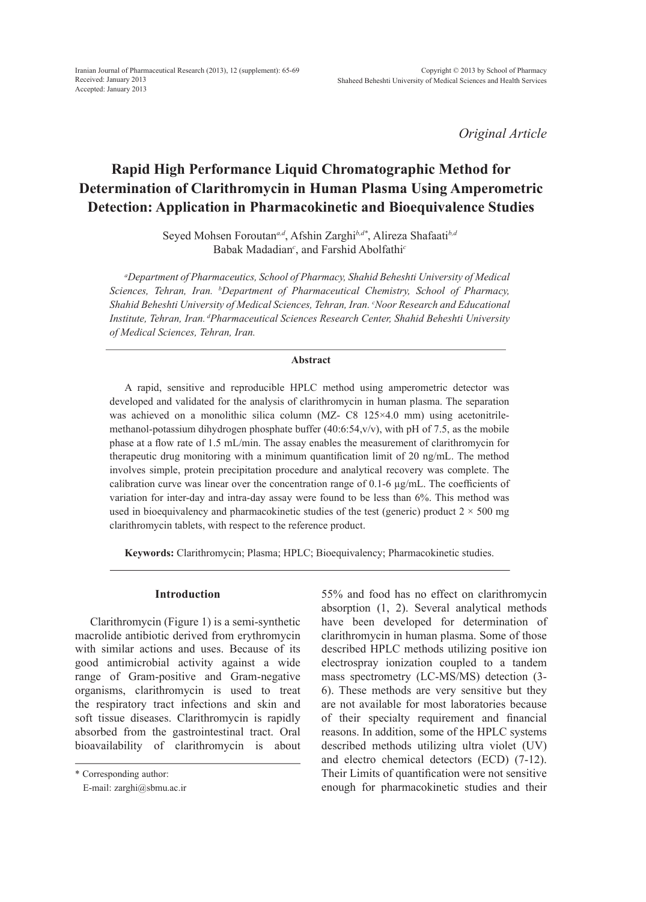*Original Article*

# **Rapid High Performance Liquid Chromatographic Method for Determination of Clarithromycin in Human Plasma Using Amperometric Detection: Application in Pharmacokinetic and Bioequivalence Studies**

Seyed Mohsen Foroutan*a,d*, Afshin Zarghi*b,d\**, Alireza Shafaati*b,d* Babak Madadian*<sup>c</sup>* , and Farshid Abolfathi*<sup>c</sup>*

*a Department of Pharmaceutics, School of Pharmacy, Shahid Beheshti University of Medical Sciences, Tehran, Iran. b Department of Pharmaceutical Chemistry, School of Pharmacy, Shahid Beheshti University of Medical Sciences, Tehran, Iran. c Noor Research and Educational Institute, Tehran, Iran. dPharmaceutical Sciences Research Center, Shahid Beheshti University of Medical Sciences, Tehran, Iran.*

### **Abstract**

A rapid, sensitive and reproducible HPLC method using amperometric detector was developed and validated for the analysis of clarithromycin in human plasma. The separation was achieved on a monolithic silica column (MZ- C8 125×4.0 mm) using acetonitrilemethanol-potassium dihydrogen phosphate buffer (40:6:54,v/v), with pH of 7.5, as the mobile phase at a flow rate of 1.5 mL/min. The assay enables the measurement of clarithromycin for therapeutic drug monitoring with a minimum quantification limit of 20 ng/mL. The method involves simple, protein precipitation procedure and analytical recovery was complete. The calibration curve was linear over the concentration range of  $0.1$ -6  $\mu$ g/mL. The coefficients of variation for inter-day and intra-day assay were found to be less than 6%. This method was used in bioequivalency and pharmacokinetic studies of the test (generic) product  $2 \times 500$  mg clarithromycin tablets, with respect to the reference product.

**Keywords:** Clarithromycin; Plasma; HPLC; Bioequivalency; Pharmacokinetic studies.

#### **Introduction**

Clarithromycin (Figure 1) is a semi-synthetic macrolide antibiotic derived from erythromycin with similar actions and uses. Because of its good antimicrobial activity against a wide range of Gram-positive and Gram-negative organisms, clarithromycin is used to treat the respiratory tract infections and skin and soft tissue diseases. Clarithromycin is rapidly absorbed from the gastrointestinal tract. Oral bioavailability of clarithromycin is about

\* Corresponding author:

E-mail: zarghi@sbmu.ac.ir

55% and food has no effect on clarithromycin absorption (1, 2). Several analytical methods have been developed for determination of clarithromycin in human plasma. Some of those described HPLC methods utilizing positive ion electrospray ionization coupled to a tandem mass spectrometry (LC-MS/MS) detection (3- 6). These methods are very sensitive but they are not available for most laboratories because of their specialty requirement and financial reasons. In addition, some of the HPLC systems described methods utilizing ultra violet (UV) and electro chemical detectors (ECD) (7-12). Their Limits of quantification were not sensitive enough for pharmacokinetic studies and their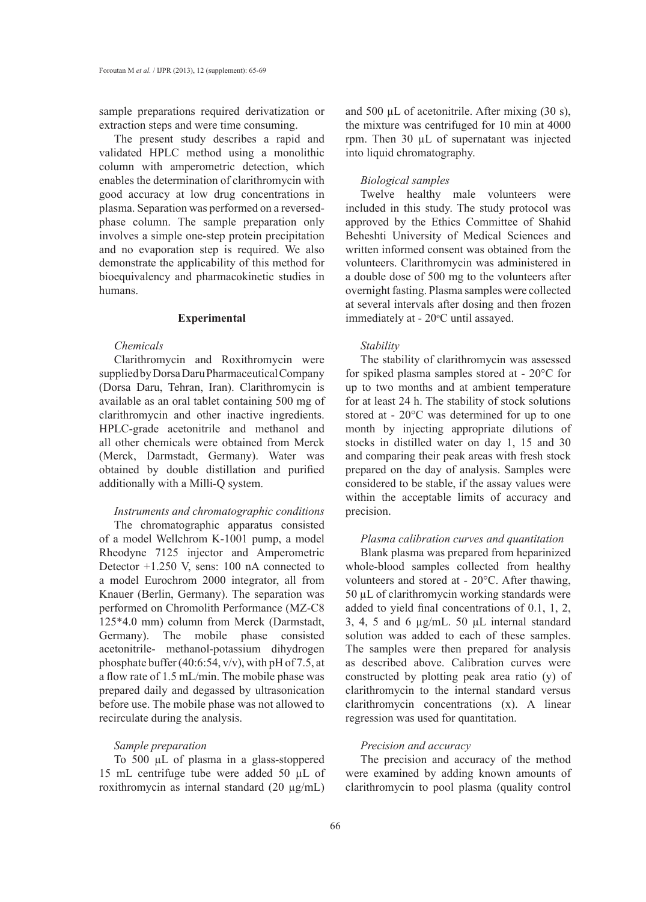sample preparations required derivatization or extraction steps and were time consuming.

The present study describes a rapid and validated HPLC method using a monolithic column with amperometric detection, which enables the determination of clarithromycin with good accuracy at low drug concentrations in plasma. Separation was performed on a reversedphase column. The sample preparation only involves a simple one-step protein precipitation and no evaporation step is required. We also demonstrate the applicability of this method for bioequivalency and pharmacokinetic studies in humans.

#### **Experimental**

### *Chemicals*

Clarithromycin and Roxithromycin were supplied by Dorsa Daru Pharmaceutical Company (Dorsa Daru, Tehran, Iran). Clarithromycin is available as an oral tablet containing 500 mg of clarithromycin and other inactive ingredients. HPLC-grade acetonitrile and methanol and all other chemicals were obtained from Merck (Merck, Darmstadt, Germany). Water was obtained by double distillation and purified additionally with a Milli-Q system.

## *Instruments and chromatographic conditions*

The chromatographic apparatus consisted of a model Wellchrom K-1001 pump, a model Rheodyne 7125 injector and Amperometric Detector +1.250 V, sens: 100 nA connected to a model Eurochrom 2000 integrator, all from Knauer (Berlin, Germany). The separation was performed on Chromolith Performance (MZ-C8 125\*4.0 mm) column from Merck (Darmstadt, Germany). The mobile phase consisted acetonitrile- methanol-potassium dihydrogen phosphate buffer (40:6:54, v/v), with pH of 7.5, at a flow rate of 1.5 mL/min. The mobile phase was prepared daily and degassed by ultrasonication before use. The mobile phase was not allowed to recirculate during the analysis.

### *Sample preparation*

To 500 µL of plasma in a glass-stoppered 15 mL centrifuge tube were added 50 µL of roxithromycin as internal standard (20 µg/mL) and 500 µL of acetonitrile. After mixing (30 s), the mixture was centrifuged for 10 min at 4000 rpm. Then 30 µL of supernatant was injected into liquid chromatography.

### *Biological samples*

Twelve healthy male volunteers were included in this study. The study protocol was approved by the Ethics Committee of Shahid Beheshti University of Medical Sciences and written informed consent was obtained from the volunteers. Clarithromycin was administered in a double dose of 500 mg to the volunteers after overnight fasting. Plasma samples were collected at several intervals after dosing and then frozen immediately at - 20°C until assayed.

#### *Stability*

The stability of clarithromycin was assessed for spiked plasma samples stored at - 20°C for up to two months and at ambient temperature for at least 24 h. The stability of stock solutions stored at - 20°C was determined for up to one month by injecting appropriate dilutions of stocks in distilled water on day 1, 15 and 30 and comparing their peak areas with fresh stock prepared on the day of analysis. Samples were considered to be stable, if the assay values were within the acceptable limits of accuracy and precision.

### *Plasma calibration curves and quantitation*

Blank plasma was prepared from heparinized whole-blood samples collected from healthy volunteers and stored at - 20°C. After thawing, 50 µL of clarithromycin working standards were added to yield final concentrations of 0.1, 1, 2, 3, 4, 5 and 6 µg/mL. 50 µL internal standard solution was added to each of these samples. The samples were then prepared for analysis as described above. Calibration curves were constructed by plotting peak area ratio (y) of clarithromycin to the internal standard versus clarithromycin concentrations (x). A linear regression was used for quantitation.

### *Precision and accuracy*

The precision and accuracy of the method were examined by adding known amounts of clarithromycin to pool plasma (quality control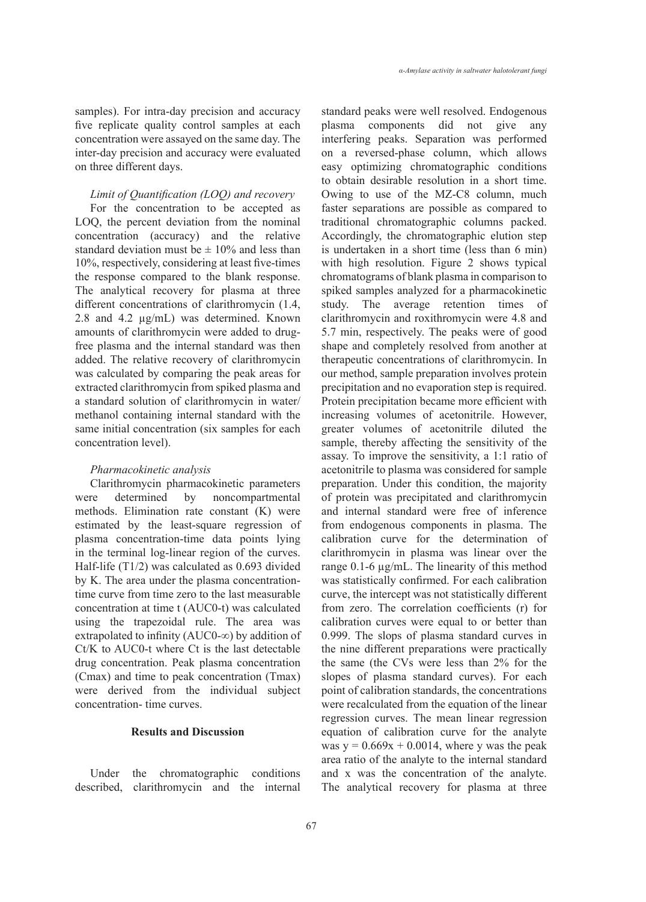samples). For intra-day precision and accuracy five replicate quality control samples at each concentration were assayed on the same day. The inter-day precision and accuracy were evaluated on three different days.

### *Limit of Quantification (LOQ) and recovery*

For the concentration to be accepted as LOQ, the percent deviation from the nominal concentration (accuracy) and the relative standard deviation must be  $\pm$  10% and less than 10%, respectively, considering at least five-times the response compared to the blank response. The analytical recovery for plasma at three different concentrations of clarithromycin (1.4, 2.8 and 4.2 µg/mL) was determined. Known amounts of clarithromycin were added to drugfree plasma and the internal standard was then added. The relative recovery of clarithromycin was calculated by comparing the peak areas for extracted clarithromycin from spiked plasma and a standard solution of clarithromycin in water/ methanol containing internal standard with the same initial concentration (six samples for each concentration level).

### *Pharmacokinetic analysis*

Clarithromycin pharmacokinetic parameters were determined by noncompartmental methods. Elimination rate constant (K) were estimated by the least-square regression of plasma concentration-time data points lying in the terminal log-linear region of the curves. Half-life (T1/2) was calculated as 0.693 divided by K. The area under the plasma concentrationtime curve from time zero to the last measurable concentration at time t (AUC0-t) was calculated using the trapezoidal rule. The area was extrapolated to infinity (AUC0-∞) by addition of Ct/K to AUC0-t where Ct is the last detectable drug concentration. Peak plasma concentration (Cmax) and time to peak concentration (Tmax) were derived from the individual subject concentration- time curves.

### **Results and Discussion**

Under the chromatographic conditions described, clarithromycin and the internal standard peaks were well resolved. Endogenous plasma components did not give any interfering peaks. Separation was performed on a reversed-phase column, which allows easy optimizing chromatographic conditions to obtain desirable resolution in a short time. Owing to use of the MZ-C8 column, much faster separations are possible as compared to traditional chromatographic columns packed. Accordingly, the chromatographic elution step is undertaken in a short time (less than 6 min) with high resolution. Figure 2 shows typical chromatograms of blank plasma in comparison to spiked samples analyzed for a pharmacokinetic study. The average retention times of clarithromycin and roxithromycin were 4.8 and 5.7 min, respectively. The peaks were of good shape and completely resolved from another at therapeutic concentrations of clarithromycin. In our method, sample preparation involves protein precipitation and no evaporation step is required. Protein precipitation became more efficient with increasing volumes of acetonitrile. However, greater volumes of acetonitrile diluted the sample, thereby affecting the sensitivity of the assay. To improve the sensitivity, a 1:1 ratio of acetonitrile to plasma was considered for sample preparation. Under this condition, the majority of protein was precipitated and clarithromycin and internal standard were free of inference from endogenous components in plasma. The calibration curve for the determination of clarithromycin in plasma was linear over the range 0.1-6 µg/mL. The linearity of this method was statistically confirmed. For each calibration curve, the intercept was not statistically different from zero. The correlation coefficients (r) for calibration curves were equal to or better than 0.999. The slops of plasma standard curves in the nine different preparations were practically the same (the CVs were less than 2% for the slopes of plasma standard curves). For each point of calibration standards, the concentrations were recalculated from the equation of the linear regression curves. The mean linear regression equation of calibration curve for the analyte was  $y = 0.669x + 0.0014$ , where y was the peak area ratio of the analyte to the internal standard and x was the concentration of the analyte. The analytical recovery for plasma at three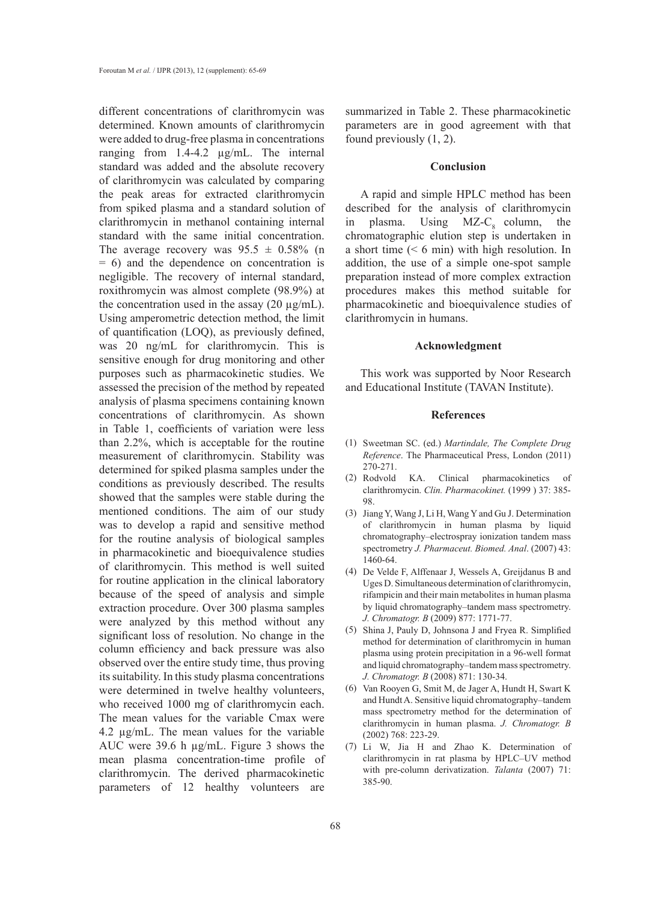different concentrations of clarithromycin was determined. Known amounts of clarithromycin were added to drug-free plasma in concentrations ranging from 1.4-4.2 µg/mL. The internal standard was added and the absolute recovery of clarithromycin was calculated by comparing the peak areas for extracted clarithromycin from spiked plasma and a standard solution of clarithromycin in methanol containing internal standard with the same initial concentration. The average recovery was  $95.5 \pm 0.58\%$  (n = 6) and the dependence on concentration is negligible. The recovery of internal standard, roxithromycin was almost complete (98.9%) at the concentration used in the assay  $(20 \mu g/mL)$ . Using amperometric detection method, the limit of quantification (LOQ), as previously defined, was 20 ng/mL for clarithromycin. This is sensitive enough for drug monitoring and other purposes such as pharmacokinetic studies. We assessed the precision of the method by repeated analysis of plasma specimens containing known concentrations of clarithromycin. As shown in Table 1, coefficients of variation were less than 2.2%, which is acceptable for the routine measurement of clarithromycin. Stability was determined for spiked plasma samples under the conditions as previously described. The results showed that the samples were stable during the mentioned conditions. The aim of our study was to develop a rapid and sensitive method for the routine analysis of biological samples in pharmacokinetic and bioequivalence studies of clarithromycin. This method is well suited for routine application in the clinical laboratory because of the speed of analysis and simple extraction procedure. Over 300 plasma samples were analyzed by this method without any significant loss of resolution. No change in the column efficiency and back pressure was also observed over the entire study time, thus proving its suitability. In this study plasma concentrations were determined in twelve healthy volunteers, who received 1000 mg of clarithromycin each. The mean values for the variable Cmax were 4.2 µg/mL. The mean values for the variable AUC were 39.6 h µg/mL. Figure 3 shows the mean plasma concentration-time profile of clarithromycin. The derived pharmacokinetic parameters of 12 healthy volunteers are

summarized in Table 2. These pharmacokinetic parameters are in good agreement with that found previously (1, 2).

#### **Conclusion**

A rapid and simple HPLC method has been described for the analysis of clarithromycin in plasma. Using  $MZ-C_8$  column, the chromatographic elution step is undertaken in a short time  $(6 \text{ min})$  with high resolution. In addition, the use of a simple one-spot sample preparation instead of more complex extraction procedures makes this method suitable for pharmacokinetic and bioequivalence studies of clarithromycin in humans.

### **Acknowledgment**

This work was supported by Noor Research and Educational Institute (TAVAN Institute).

### **References**

- Sweetman SC. (ed.) *Martindale, The Complete Drug*  (1) *Reference*. The Pharmaceutical Press, London (2011) 270-271.
- KA. Clinical pharmacokinetics of clarithromycin. *Clin. Pharmacokinet.* (1999 ) 37: 385- 98. (2)
- (3) Jiang Y, Wang J, Li H, Wang Y and Gu J. Determination of clarithromycin in human plasma by liquid chromatography–electrospray ionization tandem mass spectrometry *J. Pharmaceut. Biomed. Anal.* (2007) 43: 1460-64.
- De Velde F, Alffenaar J, Wessels A, Greijdanus B and (4) Uges D. Simultaneous determination of clarithromycin, rifampicin and their main metabolites in human plasma by liquid chromatography–tandem mass spectrometry. *J. Chromatogr. B* (2009) 877: 1771-77.
- (5) Shina J, Pauly D, Johnsona J and Fryea R. Simplified method for determination of clarithromycin in human plasma using protein precipitation in a 96-well format and liquid chromatography–tandem mass spectrometry. *J. Chromatogr. B* (2008) 871: 130-34.
- (6) Van Rooyen G, Smit M, de Jager A, Hundt H, Swart K and Hundt A. Sensitive liquid chromatography–tandem mass spectrometry method for the determination of clarithromycin in human plasma. *J. Chromatogr. B* (2002) 768: 223-29.
- Li W, Jia H and Zhao K. Determination of (7)clarithromycin in rat plasma by HPLC–UV method with pre-column derivatization. *Talanta* (2007) 71: 385-90.